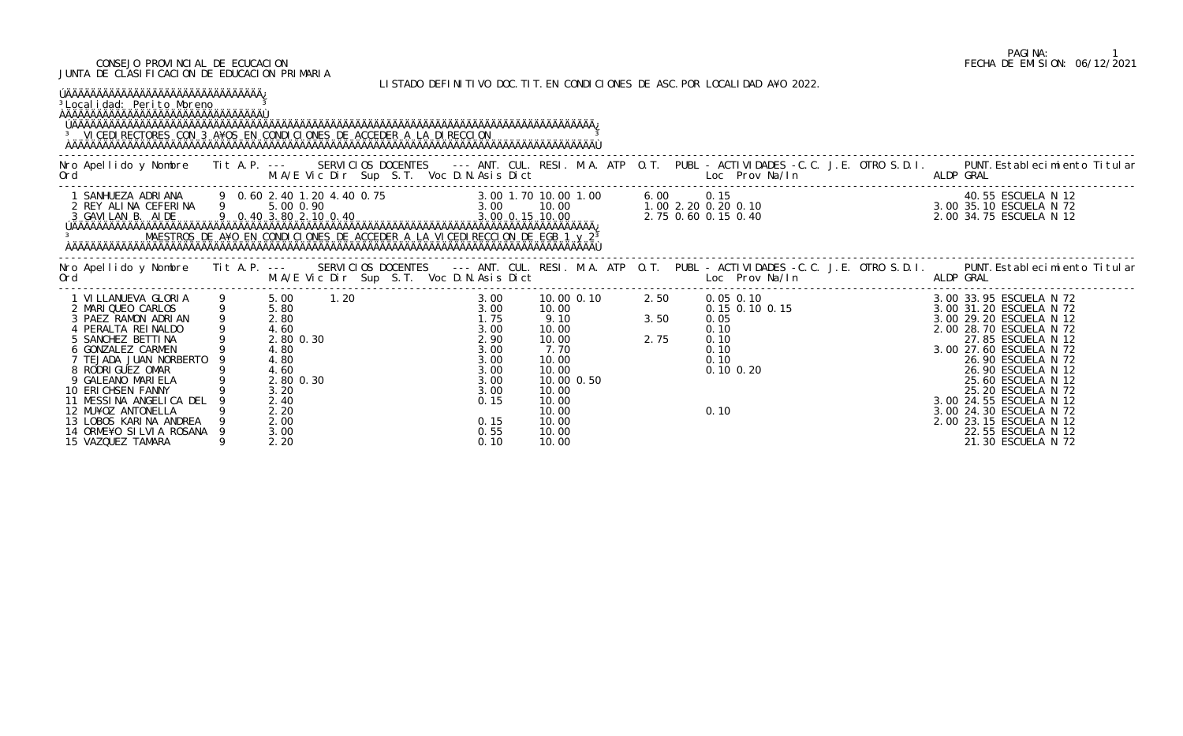## CONSEJO PROVINCIAL DE ECUCACION FECHA DE EMISION: 06/12/2021 JUNTA DE CLASIFICACION DE EDUCACION PRIMARIA

LISTADO DEFINITIVO DOC.TIT.EN CONDICIONES DE ASC.POR LOCALIDAD A¥O 2022.

| ÚÄÄÄÄÄÄÄÄÄÄÄÄÄÄÄÄÄÄÄÄÄÄÄÄÄÄÄÄÄÄÄÄÄÄ<br><sup>3</sup> Local i dad: Peri to Moreno<br><sup>3</sup> VICEDI RECTORES CON 3 A¥OS EN CONDICIONES DE ACCEDER A LA DIRECCION |  |  |  |                                                                                                                                                                                                                                                                                                                                                                                                                                     |  |
|---------------------------------------------------------------------------------------------------------------------------------------------------------------------|--|--|--|-------------------------------------------------------------------------------------------------------------------------------------------------------------------------------------------------------------------------------------------------------------------------------------------------------------------------------------------------------------------------------------------------------------------------------------|--|
|                                                                                                                                                                     |  |  |  | Nro Apellido y Nombre Tit A.P. --- SERVICIOS DOCENTES --- ANT. CUL. RESI. M.A. ATP O.T. PUBL - ACTIVIDADES -C.C. J.E. OTRO S.D.I. PUNT.Establecimiento Titular<br>Ord M.A/E Vic Dir Sup S.T. Voc D.N.Asis Dict Loc Prov Na/In ALD                                                                                                                                                                                                   |  |
|                                                                                                                                                                     |  |  |  |                                                                                                                                                                                                                                                                                                                                                                                                                                     |  |
|                                                                                                                                                                     |  |  |  | No Apellido y Nombre Tit A.P. -- SERVICIOS DOCENTES --- ANT. CUL. RESI. M.A. ATP 0.T. PUBL - ACTIVIDADES -C.C. J.E. OTRO S.D.I. PUNT.Establecimiento Titular<br>Ord M.A/E Vic Dir Sup S.T. Voc D.N.Asis Dict Loc. Prov.Na/In ALDP                                                                                                                                                                                                   |  |
|                                                                                                                                                                     |  |  |  | $\begin{tabular}{cccccccc} \textbf{1} & \textbf{1} & \textbf{1} & \textbf{1} & \textbf{1} & \textbf{1} & \textbf{1} & \textbf{1} & \textbf{1} & \textbf{1} & \textbf{1} & \textbf{1} & \textbf{1} & \textbf{1} & \textbf{1} & \textbf{1} & \textbf{1} & \textbf{1} & \textbf{1} & \textbf{1} & \textbf{1} & \textbf{1} & \textbf{1} & \textbf{1} & \textbf{1} & \textbf{1} & \textbf{1} & \textbf{1} & \textbf{1} & \textbf{1} & \$ |  |
|                                                                                                                                                                     |  |  |  |                                                                                                                                                                                                                                                                                                                                                                                                                                     |  |

## PAGINA: 1<br>FECHA DE EMISION: 06/12/2021